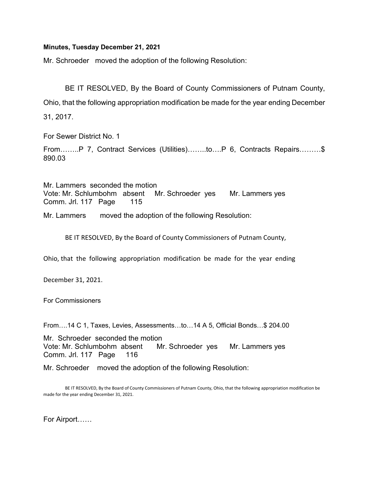## Minutes, Tuesday December 21, 2021

Mr. Schroeder moved the adoption of the following Resolution:

 BE IT RESOLVED, By the Board of County Commissioners of Putnam County, Ohio, that the following appropriation modification be made for the year ending December 31, 2017.

For Sewer District No. 1

From……..P 7, Contract Services (Utilities)……..to….P 6, Contracts Repairs………\$ 890.03

Mr. Lammers seconded the motion Vote: Mr. Schlumbohm absent Mr. Schroeder yes Mr. Lammers yes Comm. Jrl. 117 Page 115

Mr. Lammers moved the adoption of the following Resolution:

BE IT RESOLVED, By the Board of County Commissioners of Putnam County,

Ohio, that the following appropriation modification be made for the year ending

December 31, 2021.

For Commissioners

From….14 C 1, Taxes, Levies, Assessments…to…14 A 5, Official Bonds…\$ 204.00

Mr. Schroeder seconded the motion Vote: Mr. Schlumbohm absent Mr. Schroeder yes Mr. Lammers yes Comm. Jrl. 117 Page 116

Mr. Schroeder moved the adoption of the following Resolution:

 BE IT RESOLVED, By the Board of County Commissioners of Putnam County, Ohio, that the following appropriation modification be made for the year ending December 31, 2021.

For Airport……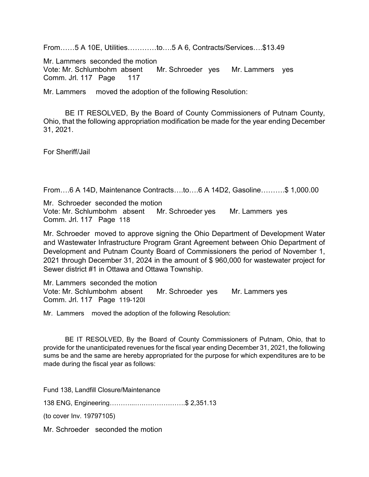From……5 A 10E, Utilities…………to….5 A 6, Contracts/Services….\$13.49

Mr. Lammers seconded the motion

Vote: Mr. Schlumbohm absent Mr. Schroeder yes Mr. Lammers yes Comm. Jrl. 117 Page 117

Mr. Lammers moved the adoption of the following Resolution:

 BE IT RESOLVED, By the Board of County Commissioners of Putnam County, Ohio, that the following appropriation modification be made for the year ending December 31, 2021.

For Sheriff/Jail

From….6 A 14D, Maintenance Contracts….to….6 A 14D2, Gasoline……….\$ 1,000.00

Mr. Schroeder seconded the motion Vote: Mr. Schlumbohm absent Mr. Schroeder yes Mr. Lammers yes Comm. Jrl. 117 Page 118

Mr. Schroeder moved to approve signing the Ohio Department of Development Water and Wastewater Infrastructure Program Grant Agreement between Ohio Department of Development and Putnam County Board of Commissioners the period of November 1, 2021 through December 31, 2024 in the amount of \$ 960,000 for wastewater project for Sewer district #1 in Ottawa and Ottawa Township.

Mr. Lammers seconded the motion Vote: Mr. Schlumbohm absent Mr. Schroeder yes Mr. Lammers yes Comm. Jrl. 117 Page 119-120I

Mr. Lammers moved the adoption of the following Resolution:

 BE IT RESOLVED, By the Board of County Commissioners of Putnam, Ohio, that to provide for the unanticipated revenues for the fiscal year ending December 31, 2021, the following sums be and the same are hereby appropriated for the purpose for which expenditures are to be made during the fiscal year as follows:

Fund 138, Landfill Closure/Maintenance

138 ENG, Engineering………...….……………….\$ 2,351.13

(to cover Inv. 19797105)

Mr. Schroeder seconded the motion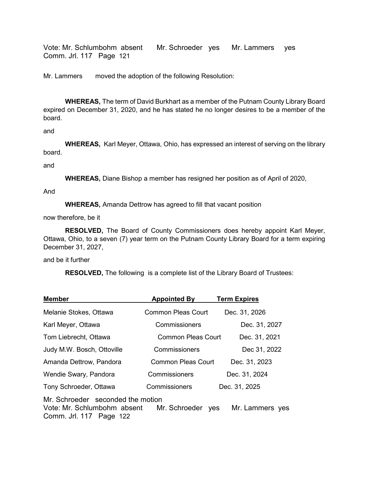Vote: Mr. Schlumbohm absent Mr. Schroeder yes Mr. Lammers yes Comm. Jrl. 117 Page 121

Mr. Lammers moved the adoption of the following Resolution:

WHEREAS, The term of David Burkhart as a member of the Putnam County Library Board expired on December 31, 2020, and he has stated he no longer desires to be a member of the board.

and

WHEREAS, Karl Meyer, Ottawa, Ohio, has expressed an interest of serving on the library board.

and

WHEREAS, Diane Bishop a member has resigned her position as of April of 2020,

And

WHEREAS, Amanda Dettrow has agreed to fill that vacant position

now therefore, be it

RESOLVED, The Board of County Commissioners does hereby appoint Karl Meyer, Ottawa, Ohio, to a seven (7) year term on the Putnam County Library Board for a term expiring December 31, 2027,

and be it further

RESOLVED, The following is a complete list of the Library Board of Trustees:

| <b>Member</b>                                                                               | <b>Appointed By</b>       | <b>Term Expires</b> |
|---------------------------------------------------------------------------------------------|---------------------------|---------------------|
| Melanie Stokes, Ottawa                                                                      | <b>Common Pleas Court</b> | Dec. 31, 2026       |
| Karl Meyer, Ottawa                                                                          | Commissioners             | Dec. 31, 2027       |
| Tom Liebrecht, Ottawa                                                                       | Common Pleas Court        | Dec. 31, 2021       |
| Judy M.W. Bosch, Ottoville                                                                  | Commissioners             | Dec 31, 2022        |
| Amanda Dettrow, Pandora                                                                     | <b>Common Pleas Court</b> | Dec. 31, 2023       |
| Wendie Swary, Pandora                                                                       | Commissioners             | Dec. 31, 2024       |
| Tony Schroeder, Ottawa                                                                      | Commissioners             | Dec. 31, 2025       |
| Mr. Schroeder seconded the motion<br>Vote: Mr. Schlumbohm absent<br>Comm. Jrl. 117 Page 122 | Mr. Schroeder<br>yes      | Mr. Lammers yes     |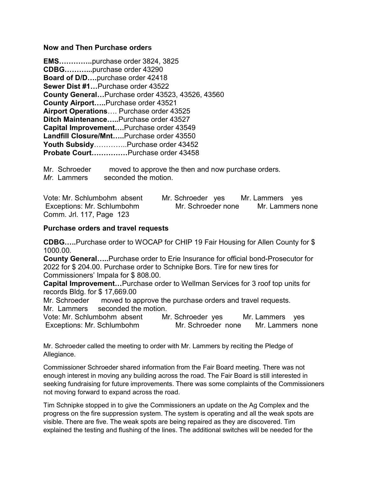## Now and Then Purchase orders

EMS…………..purchase order 3824, 3825 CDBG………...purchase order 43290 Board of D/D….purchase order 42418 Sewer Dist #1…Purchase order 43522 County General…Purchase order 43523, 43526, 43560 County Airport…..Purchase order 43521 Airport Operations…. Purchase order 43525 Ditch Maintenance…..Purchase order 43527 Capital Improvement….Purchase order 43549 Landfill Closure/Mnt…..Purchase order 43550 Youth Subsidy…………..Purchase order 43452 Probate Court……………Purchase order 43458

Mr. Schroeder moved to approve the then and now purchase orders. Mr. Lammers seconded the motion.

Vote: Mr. Schlumbohm absent Mr. Schroeder yes Mr. Lammers yes Exceptions: Mr. Schlumbohm Mr. Schroeder none Mr. Lammers none Comm. Jrl. 117, Page 123

## Purchase orders and travel requests

CDBG…..Purchase order to WOCAP for CHIP 19 Fair Housing for Allen County for \$ 1000.00.

County General…..Purchase order to Erie Insurance for official bond-Prosecutor for 2022 for \$ 204.00. Purchase order to Schnipke Bors. Tire for new tires for Commissioners' Impala for \$ 808.00.

Capital Improvement…Purchase order to Wellman Services for 3 roof top units for records Bldg. for \$ 17,669.00

Mr. Schroeder moved to approve the purchase orders and travel requests. Mr. Lammers seconded the motion.

Vote: Mr. Schlumbohm absent Mr. Schroeder yes Mr. Lammers yes Exceptions: Mr. Schlumbohm Mr. Schroeder none Mr. Lammers none

Mr. Schroeder called the meeting to order with Mr. Lammers by reciting the Pledge of Allegiance.

Commissioner Schroeder shared information from the Fair Board meeting. There was not enough interest in moving any building across the road. The Fair Board is still interested in seeking fundraising for future improvements. There was some complaints of the Commissioners not moving forward to expand across the road.

Tim Schnipke stopped in to give the Commissioners an update on the Ag Complex and the progress on the fire suppression system. The system is operating and all the weak spots are visible. There are five. The weak spots are being repaired as they are discovered. Tim explained the testing and flushing of the lines. The additional switches will be needed for the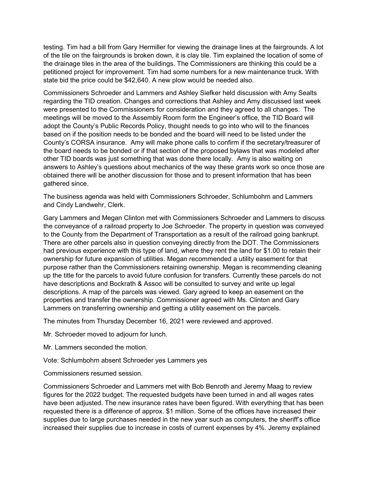testing. Tim had a bill from Gary Hermiller for viewing the drainage lines at the fairgrounds. A lot of the tile on the fairgrounds is broken down, it is clay tile. Tim explained the location of some of the drainage tiles in the area of the buildings. The Commissioners are thinking this could be a petitioned project for improvement. Tim had some numbers for a new maintenance truck. With state bid the price could be \$42,640. A new plow would be needed also.

Commissioners Schroeder and Lammers and Ashley Siefker held discussion with Amy Sealts regarding the TID creation. Changes and corrections that Ashley and Amy discussed last week were presented to the Commissioners for consideration and they agreed to all changes. The meetings will be moved to the Assembly Room form the Engineer's office, the TID Board will adopt the County's Public Records Policy, thought needs to go into who will to the finances based on if the position needs to be bonded and the board will need to be listed under the County's CORSA insurance. Amy will make phone calls to confirm if the secretary/treasurer of the board needs to be bonded or if that section of the proposed bylaws that was modeled after other TID boards was just something that was done there locally. Amy is also waiting on answers to Ashley's questions about mechanics of the way these grants work so once those are obtained there will be another discussion for those and to present information that has been gathered since.

The business agenda was held with Commissioners Schroeder, Schlumbohm and Lammers and Cindy Landwehr, Clerk.

Gary Lammers and Megan Clinton met with Commissioners Schroeder and Lammers to discuss the conveyance of a railroad property to Joe Schroeder. The property in question was conveyed to the County from the Department of Transportation as a result of the railroad going bankrupt. There are other parcels also in question conveying directly from the DOT. The Commissioners had previous experience with this type of land, where they rent the land for \$1.00 to retain their ownership for future expansion of utilities. Megan recommended a utility easement for that purpose rather than the Commissioners retaining ownership. Megan is recommending cleaning up the title for the parcels to avoid future confusion for transfers. Currently these parcels do not have descriptions and Bockrath & Assoc will be consulted to survey and write up legal descriptions. A map of the parcels was viewed. Gary agreed to keep an easement on the properties and transfer the ownership. Commissioner agreed with Ms. Clinton and Gary Lammers on transferring ownership and getting a utility easement on the parcels.

The minutes from Thursday December 16, 2021 were reviewed and approved.

Mr. Schroeder moved to adjourn for lunch.

Mr. Lammers seconded the motion.

Vote: Schlumbohm absent Schroeder yes Lammers yes

Commissioners resumed session.

Commissioners Schroeder and Lammers met with Bob Benroth and Jeremy Maag to review figures for the 2022 budget. The requested budgets have been turned in and all wages rates have been adjusted. The new insurance rates have been figured. With everything that has been requested there is a difference of approx. \$1 million. Some of the offices have increased their supplies due to large purchases needed in the new year such as computers, the sheriff's office increased their supplies due to increase in costs of current expenses by 4%. Jeremy explained